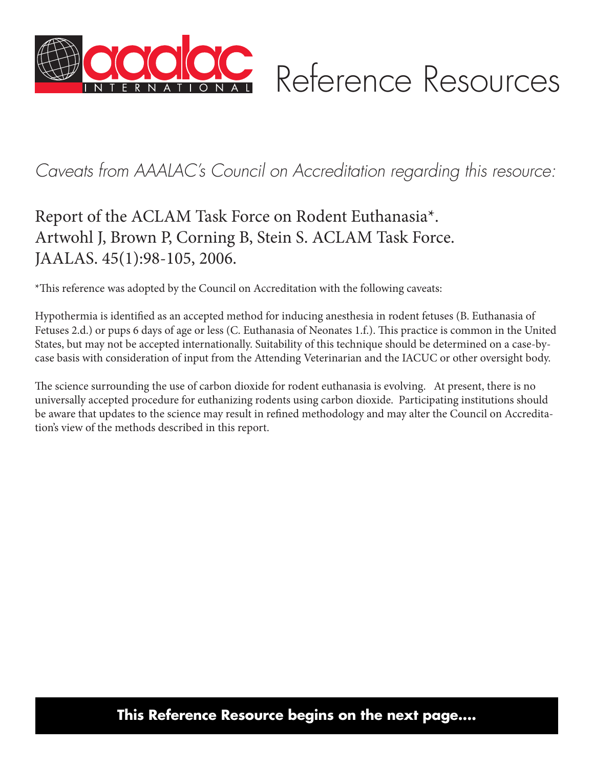

# *Caveats from AAALAC's Council on Accreditation regarding this resource:*

## Report of the ACLAM Task Force on Rodent Euthanasia\*. Artwohl J, Brown P, Corning B, Stein S. ACLAM Task Force. JAALAS. 45(1):98-105, 2006.

\*This reference was adopted by the Council on Accreditation with the following caveats:

Hypothermia is identified as an accepted method for inducing anesthesia in rodent fetuses (B. Euthanasia of Fetuses 2.d.) or pups 6 days of age or less (C. Euthanasia of Neonates 1.f.). This practice is common in the United States, but may not be accepted internationally. Suitability of this technique should be determined on a case-bycase basis with consideration of input from the Attending Veterinarian and the IACUC or other oversight body.

The science surrounding the use of carbon dioxide for rodent euthanasia is evolving. At present, there is no universally accepted procedure for euthanizing rodents using carbon dioxide. Participating institutions should be aware that updates to the science may result in refined methodology and may alter the Council on Accreditation's view of the methods described in this report.

### **This Reference Resource begins on the next page....**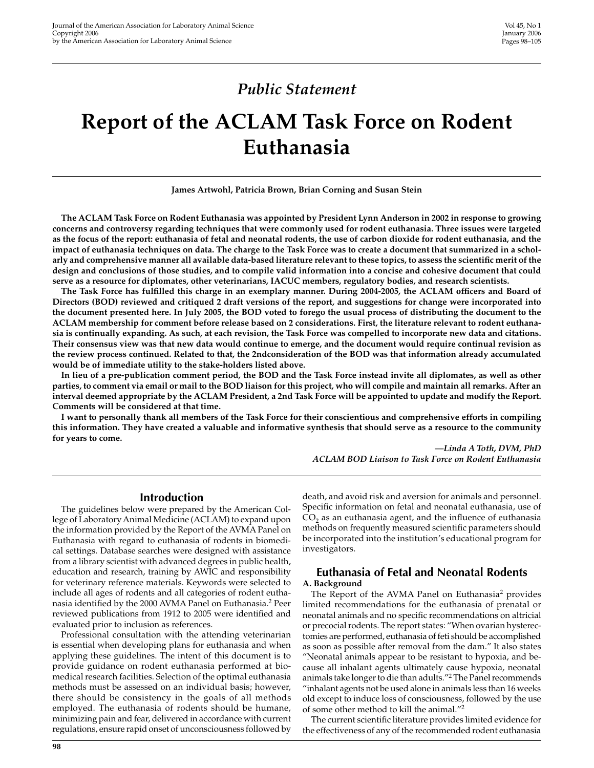### **Public Statement**

# Report of the ACLAM Task Force on Rodent Euthanasia

James Artwohl, Patricia Brown, Brian Corning and Susan Stein

The ACLAM Task Force on Rodent Euthanasia was appointed by President Lynn Anderson in 2002 in response to growing concerns and controversy regarding techniques that were commonly used for rodent euthanasia. Three issues were targeted as the focus of the report: euthanasia of fetal and neonatal rodents, the use of carbon dioxide for rodent euthanasia, and the impact of euthanasia techniques on data. The charge to the Task Force was to create a document that summarized in a scholarly and comprehensive manner all available data-based literature relevant to these topics, to assess the scientific merit of the design and conclusions of those studies, and to compile valid information into a concise and cohesive document that could serve as a resource for diplomates, other veterinarians, IACUC members, regulatory bodies, and research scientists.

The Task Force has fulfilled this charge in an exemplary manner. During 2004-2005, the ACLAM officers and Board of Directors (BOD) reviewed and critiqued 2 draft versions of the report, and suggestions for change were incorporated into the document presented here. In July 2005, the BOD voted to forego the usual process of distributing the document to the ACLAM membership for comment before release based on 2 considerations. First, the literature relevant to rodent euthanasia is continually expanding. As such, at each revision, the Task Force was compelled to incorporate new data and citations. Their consensus view was that new data would continue to emerge, and the document would require continual revision as the review process continued. Related to that, the 2ndconsideration of the BOD was that information already accumulated would be of immediate utility to the stake-holders listed above.

In lieu of a pre-publication comment period, the BOD and the Task Force instead invite all diplomates, as well as other parties, to comment via email or mail to the BOD liaison for this project, who will compile and maintain all remarks. After an interval deemed appropriate by the ACLAM President, a 2nd Task Force will be appointed to update and modify the Report. Comments will be considered at that time.

I want to personally thank all members of the Task Force for their conscientious and comprehensive efforts in compiling this information. They have created a valuable and informative synthesis that should serve as a resource to the community for years to come.

> -Linda A Toth, DVM, PhD **ACLAM BOD Liaison to Task Force on Rodent Euthanasia**

#### **Introduction**

The guidelines below were prepared by the American College of Laboratory Animal Medicine (ACLAM) to expand upon the information provided by the Report of the AVMA Panel on Euthanasia with regard to euthanasia of rodents in biomedical settings. Database searches were designed with assistance from a library scientist with advanced degrees in public health, education and research, training by AWIC and responsibility for veterinary reference materials. Keywords were selected to include all ages of rodents and all categories of rodent euthanasia identified by the 2000 AVMA Panel on Euthanasia.<sup>2</sup> Peer reviewed publications from 1912 to 2005 were identified and evaluated prior to inclusion as references.

Professional consultation with the attending veterinarian is essential when developing plans for euthanasia and when applying these guidelines. The intent of this document is to provide guidance on rodent euthanasia performed at biomedical research facilities. Selection of the optimal euthanasia methods must be assessed on an individual basis; however, there should be consistency in the goals of all methods employed. The euthanasia of rodents should be humane, minimizing pain and fear, delivered in accordance with current regulations, ensure rapid onset of unconsciousness followed by death, and avoid risk and aversion for animals and personnel. Specific information on fetal and neonatal euthanasia, use of CO<sub>2</sub> as an euthanasia agent, and the influence of euthanasia methods on frequently measured scientific parameters should be incorporated into the institution's educational program for investigators.

#### **Euthanasia of Fetal and Neonatal Rodents** A. Background

The Report of the AVMA Panel on Euthanasia<sup>2</sup> provides limited recommendations for the euthanasia of prenatal or neonatal animals and no specific recommendations on altricial or precocial rodents. The report states: "When ovarian hysterectomies are performed, euthanasia of feti should be accomplished as soon as possible after removal from the dam." It also states "Neonatal animals appear to be resistant to hypoxia, and because all inhalant agents ultimately cause hypoxia, neonatal animals take longer to die than adults."<sup>2</sup> The Panel recommends "inhalant agents not be used alone in animals less than 16 weeks old except to induce loss of consciousness, followed by the use of some other method to kill the animal."<sup>2</sup>

The current scientific literature provides limited evidence for the effectiveness of any of the recommended rodent euthanasia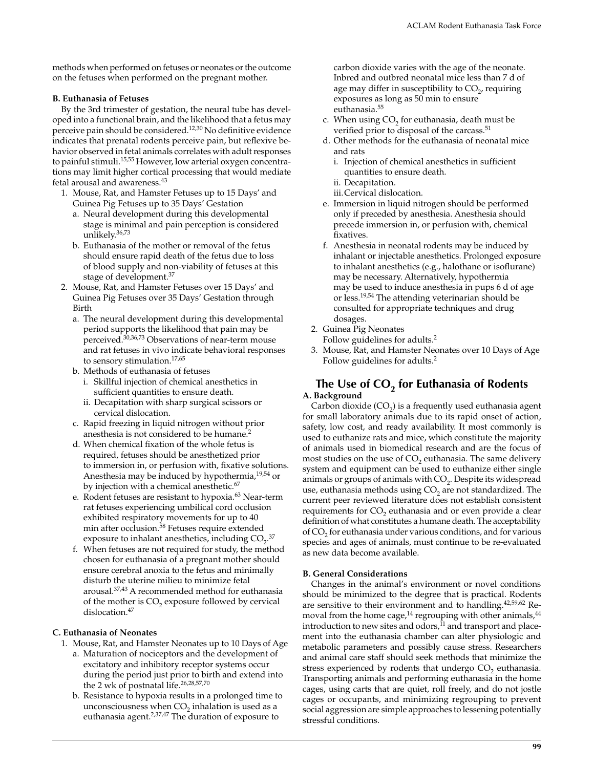methods when performed on fetuses or neonates or the outcome on the fetuses when performed on the pregnant mother.

#### **B. Euthanasia of Fetuses**

By the 3rd trimester of gestation, the neural tube has developed into a functional brain, and the likelihood that a fetus may perceive pain should be considered.<sup>12,30</sup> No definitive evidence indicates that prenatal rodents perceive pain, but reflexive behavior observed in fetal animals correlates with adult responses to painful stimuli.<sup>15,55</sup> However, low arterial oxygen concentrations may limit higher cortical processing that would mediate fetal arousal and awareness.<sup>43</sup>

- 1. Mouse, Rat, and Hamster Fetuses up to 15 Days' and Guinea Pig Fetuses up to 35 Days' Gestation
	- a. Neural development during this developmental stage is minimal and pain perception is considered unlikely.<sup>36,73</sup>
	- b. Euthanasia of the mother or removal of the fetus should ensure rapid death of the fetus due to loss of blood supply and non-viability of fetuses at this stage of development.<sup>37</sup>
- 2. Mouse, Rat, and Hamster Fetuses over 15 Days' and Guinea Pig Fetuses over 35 Days' Gestation through **Birth** 
	- a. The neural development during this developmental period supports the likelihood that pain may be perceived.<sup>30,36,73</sup> Observations of near-term mouse and rat fetuses in vivo indicate behavioral responses to sensory stimulation. $17,65$

b. Methods of euthanasia of fetuses

- i. Skillful injection of chemical anesthetics in sufficient quantities to ensure death.
- ii. Decapitation with sharp surgical scissors or cervical dislocation.
- c. Rapid freezing in liquid nitrogen without prior anesthesia is not considered to be humane.<sup>2</sup>
- d. When chemical fixation of the whole fetus is required, fetuses should be anesthetized prior to immersion in, or perfusion with, fixative solutions. Anesthesia may be induced by hypothermia,<sup>19,54</sup> or by injection with a chemical anesthetic.<sup>67</sup>
- e. Rodent fetuses are resistant to hypoxia.<sup>63</sup> Near-term rat fetuses experiencing umbilical cord occlusion exhibited respiratory movements for up to 40 min after occlusion.<sup>58</sup> Fetuses require extended exposure to inhalant anesthetics, including CO<sub>2</sub>.37
- f. When fetuses are not required for study, the method chosen for euthanasia of a pregnant mother should ensure cerebral anoxia to the fetus and minimally disturb the uterine milieu to minimize fetal arousal.<sup>37,43</sup> A recommended method for euthanasia of the mother is  $CO<sub>2</sub>$  exposure followed by cervical dislocation.<sup>47</sup>

#### C. Euthanasia of Neonates

- 1. Mouse, Rat, and Hamster Neonates up to 10 Days of Age
	- a. Maturation of nociceptors and the development of excitatory and inhibitory receptor systems occur during the period just prior to birth and extend into the 2 wk of postnatal life.<sup>26,28,57,70</sup>
	- b. Resistance to hypoxia results in a prolonged time to unconsciousness when CO<sub>2</sub> inhalation is used as a euthanasia agent.<sup>2,37,47</sup> The duration of exposure to

carbon dioxide varies with the age of the neonate. Inbred and outbred neonatal mice less than 7 d of age may differ in susceptibility to  $CO<sub>2</sub>$ , requiring exposures as long as 50 min to ensure euthanasia.<sup>55</sup>

- c. When using CO<sub>2</sub> for euthanasia, death must be verified prior to disposal of the carcass.<sup>51</sup>
- d. Other methods for the euthanasia of neonatal mice and rats
	- i. Injection of chemical anesthetics in sufficient quantities to ensure death.
	- ii. Decapitation.
	- iii.Cervical dislocation.
- e. Immersion in liquid nitrogen should be performed only if preceded by anesthesia. Anesthesia should precede immersion in, or perfusion with, chemical fixatives.
- f. Anesthesia in neonatal rodents may be induced by inhalant or injectable anesthetics. Prolonged exposure to inhalant anesthetics (e.g., halothane or isoflurane) may be necessary. Alternatively, hypothermia may be used to induce anesthesia in pups 6 d of age or less.<sup>19,54</sup> The attending veterinarian should be consulted for appropriate techniques and drug dosages.
- 2. Guinea Pig Neonates

Follow guidelines for adults.<sup>2</sup>

3. Mouse, Rat, and Hamster Neonates over 10 Days of Age Follow guidelines for adults.<sup>2</sup>

#### The Use of CO<sub>2</sub> for Euthanasia of Rodents A. Background

Carbon dioxide  $(CO<sub>2</sub>)$  is a frequently used euthanasia agent for small laboratory animals due to its rapid onset of action, safety, low cost, and ready availability. It most commonly is used to euthanize rats and mice, which constitute the majority of animals used in biomedical research and are the focus of most studies on the use of CO<sub>2</sub> euthanasia. The same delivery system and equipment can be used to euthanize either single animals or groups of animals with CO<sub>2</sub>. Despite its widespread use, euthanasia methods using  $CO<sub>2</sub>$  are not standardized. The current peer reviewed literature does not establish consistent requirements for CO<sub>2</sub> euthanasia and or even provide a clear definition of what constitutes a humane death. The acceptability of CO<sub>2</sub> for euthanasia under various conditions, and for various species and ages of animals, must continue to be re-evaluated as new data become available.

#### **B. General Considerations**

Changes in the animal's environment or novel conditions should be minimized to the degree that is practical. Rodents are sensitive to their environment and to handling.<sup>42,59,62</sup> Removal from the home cage,<sup>14</sup> regrouping with other animals,<sup>44</sup> introduction to new sites and odors,<sup>11</sup> and transport and placement into the euthanasia chamber can alter physiologic and metabolic parameters and possibly cause stress. Researchers and animal care staff should seek methods that minimize the stress experienced by rodents that undergo CO<sub>2</sub> euthanasia. Transporting animals and performing euthanasia in the home cages, using carts that are quiet, roll freely, and do not jostle cages or occupants, and minimizing regrouping to prevent social aggression are simple approaches to lessening potentially stressful conditions.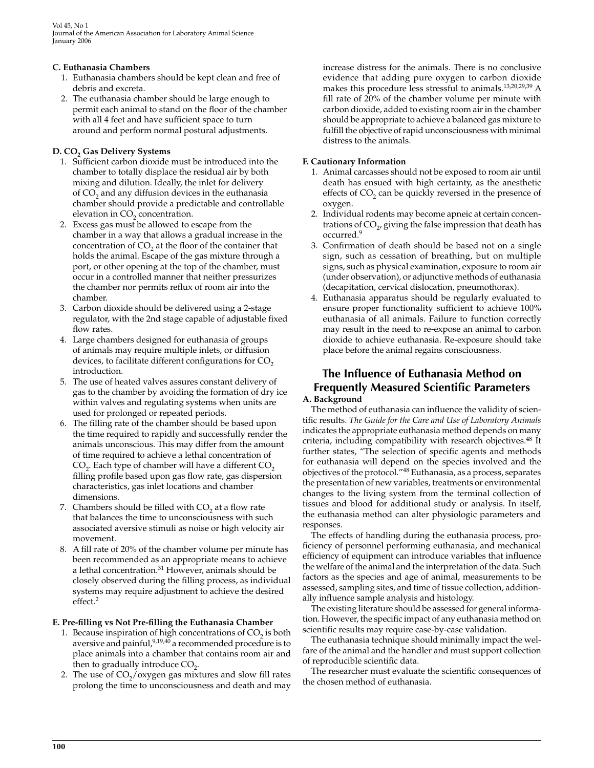Vol 45. No 1 Journal of the American Association for Laboratory Animal Science January 2006

#### C. Euthanasia Chambers

- 1. Euthanasia chambers should be kept clean and free of debris and excreta.
- 2. The euthanasia chamber should be large enough to permit each animal to stand on the floor of the chamber with all 4 feet and have sufficient space to turn around and perform normal postural adjustments.

#### D. CO<sub>2</sub> Gas Delivery Systems

- 1. Sufficient carbon dioxide must be introduced into the chamber to totally displace the residual air by both mixing and dilution. Ideally, the inlet for delivery of CO<sub>2</sub> and any diffusion devices in the euthanasia chamber should provide a predictable and controllable elevation in CO<sub>2</sub> concentration.
- 2. Excess gas must be allowed to escape from the chamber in a way that allows a gradual increase in the concentration of  $CO<sub>2</sub>$  at the floor of the container that holds the animal. Escape of the gas mixture through a port, or other opening at the top of the chamber, must occur in a controlled manner that neither pressurizes the chamber nor permits reflux of room air into the chamber.
- 3. Carbon dioxide should be delivered using a 2-stage regulator, with the 2nd stage capable of adjustable fixed flow rates.
- 4. Large chambers designed for euthanasia of groups of animals may require multiple inlets, or diffusion devices, to facilitate different configurations for CO<sub>2</sub> introduction.
- 5. The use of heated valves assures constant delivery of gas to the chamber by avoiding the formation of dry ice within valves and regulating systems when units are used for prolonged or repeated periods.
- 6. The filling rate of the chamber should be based upon the time required to rapidly and successfully render the animals unconscious. This may differ from the amount of time required to achieve a lethal concentration of CO<sub>2</sub>. Each type of chamber will have a different CO<sub>2</sub> filling profile based upon gas flow rate, gas dispersion characteristics, gas inlet locations and chamber dimensions.
- 7. Chambers should be filled with CO<sub>2</sub> at a flow rate that balances the time to unconsciousness with such associated aversive stimuli as noise or high velocity air movement.
- 8. A fill rate of 20% of the chamber volume per minute has been recommended as an appropriate means to achieve a lethal concentration.<sup>31</sup> However, animals should be closely observed during the filling process, as individual systems may require adjustment to achieve the desired  $effect.<sup>2</sup>$

#### E. Pre-filling vs Not Pre-filling the Euthanasia Chamber

- 1. Because inspiration of high concentrations of CO<sub>2</sub> is both aversive and painful,  $9,19,40$  a recommended procedure is to place animals into a chamber that contains room air and then to gradually introduce  $CO<sub>2</sub>$ .
- 2. The use of  $CO<sub>2</sub>/oxygen}$  gas mixtures and slow fill rates prolong the time to unconsciousness and death and may

increase distress for the animals. There is no conclusive evidence that adding pure oxygen to carbon dioxide makes this procedure less stressful to animals.<sup>13,20,29,39</sup> A fill rate of 20% of the chamber volume per minute with carbon dioxide, added to existing room air in the chamber should be appropriate to achieve a balanced gas mixture to fulfill the objective of rapid unconsciousness with minimal distress to the animals.

#### **F. Cautionary Information**

- 1. Animal carcasses should not be exposed to room air until death has ensued with high certainty, as the anesthetic effects of CO<sub>2</sub> can be quickly reversed in the presence of oxygen.
- 2. Individual rodents may become apneic at certain concentrations of CO<sub>2</sub>, giving the false impression that death has occurred.<sup>9</sup>
- 3. Confirmation of death should be based not on a single sign, such as cessation of breathing, but on multiple signs, such as physical examination, exposure to room air (under observation), or adjunctive methods of euthanasia (decapitation, cervical dislocation, pneumothorax).
- 4. Euthanasia apparatus should be regularly evaluated to ensure proper functionality sufficient to achieve 100% euthanasia of all animals. Failure to function correctly may result in the need to re-expose an animal to carbon dioxide to achieve euthanasia. Re-exposure should take place before the animal regains consciousness.

#### The Influence of Euthanasia Method on **Frequently Measured Scientific Parameters** A. Background

The method of euthanasia can influence the validity of scientific results. The Guide for the Care and Use of Laboratory Animals indicates the appropriate euthanasia method depends on many criteria, including compatibility with research objectives.<sup>48</sup> It further states, "The selection of specific agents and methods for euthanasia will depend on the species involved and the objectives of the protocol."48 Euthanasia, as a process, separates the presentation of new variables, treatments or environmental changes to the living system from the terminal collection of tissues and blood for additional study or analysis. In itself, the euthanasia method can alter physiologic parameters and responses.

The effects of handling during the euthanasia process, proficiency of personnel performing euthanasia, and mechanical efficiency of equipment can introduce variables that influence the welfare of the animal and the interpretation of the data. Such factors as the species and age of animal, measurements to be assessed, sampling sites, and time of tissue collection, additionally influence sample analysis and histology.

The existing literature should be assessed for general information. However, the specific impact of any euthanasia method on scientific results may require case-by-case validation.

The euthanasia technique should minimally impact the welfare of the animal and the handler and must support collection of reproducible scientific data.

The researcher must evaluate the scientific consequences of the chosen method of euthanasia.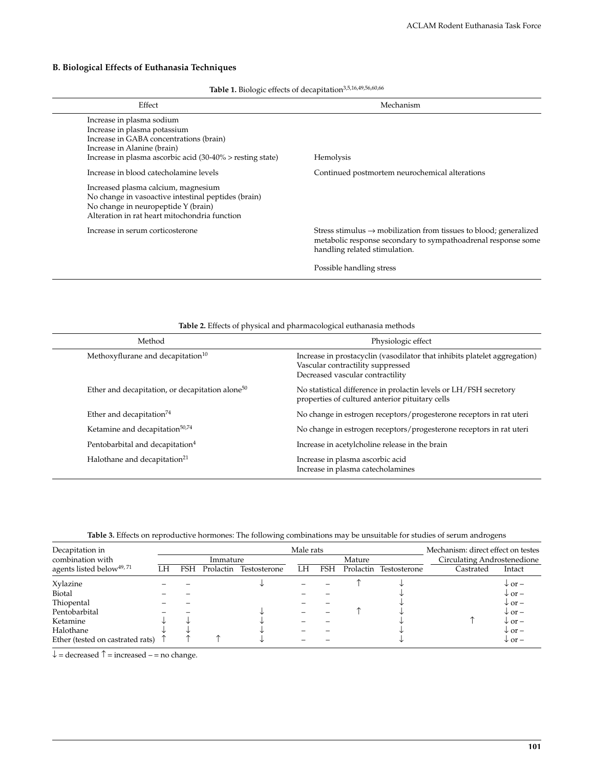#### B. Biological Effects of Euthanasia Techniques

| <b>Ravie 1.</b> DIOROGIC CHECKS OF GECAPTRATION           |                                                                                                                                                                                 |  |  |  |
|-----------------------------------------------------------|---------------------------------------------------------------------------------------------------------------------------------------------------------------------------------|--|--|--|
| Effect                                                    | Mechanism                                                                                                                                                                       |  |  |  |
| Increase in plasma sodium                                 |                                                                                                                                                                                 |  |  |  |
| Increase in plasma potassium                              |                                                                                                                                                                                 |  |  |  |
| Increase in GABA concentrations (brain)                   |                                                                                                                                                                                 |  |  |  |
| Increase in Alanine (brain)                               |                                                                                                                                                                                 |  |  |  |
| Increase in plasma ascorbic acid (30-40% > resting state) | Hemolysis                                                                                                                                                                       |  |  |  |
| Increase in blood catecholamine levels                    | Continued postmortem neurochemical alterations                                                                                                                                  |  |  |  |
| Increased plasma calcium, magnesium                       |                                                                                                                                                                                 |  |  |  |
| No change in vasoactive intestinal peptides (brain)       |                                                                                                                                                                                 |  |  |  |
| No change in neuropeptide Y (brain)                       |                                                                                                                                                                                 |  |  |  |
| Alteration in rat heart mitochondria function             |                                                                                                                                                                                 |  |  |  |
| Increase in serum corticosterone                          | Stress stimulus $\rightarrow$ mobilization from tissues to blood; generalized<br>metabolic response secondary to sympathoadrenal response some<br>handling related stimulation. |  |  |  |
|                                                           | Possible handling stress                                                                                                                                                        |  |  |  |

Table 1. Biologic effects of decapitation<sup>3,5,16,49,56,60,66</sup>

Table 2. Effects of physical and pharmacological euthanasia methods

| Method                                                      | Physiologic effect                                                                                                                                 |
|-------------------------------------------------------------|----------------------------------------------------------------------------------------------------------------------------------------------------|
| Methoxyflurane and decapitation <sup>10</sup>               | Increase in prostacyclin (vasodilator that inhibits platelet aggregation)<br>Vascular contractility suppressed<br>Decreased vascular contractility |
| Ether and decapitation, or decapitation alone <sup>50</sup> | No statistical difference in prolactin levels or LH/FSH secretory<br>properties of cultured anterior pituitary cells                               |
| Ether and decapitation $74$                                 | No change in estrogen receptors/progesterone receptors in rat uteri                                                                                |
| Ketamine and decapitation <sup>50,74</sup>                  | No change in estrogen receptors/progesterone receptors in rat uteri                                                                                |
| Pentobarbital and decapitation <sup>4</sup>                 | Increase in acetylcholine release in the brain                                                                                                     |
| Halothane and decapitation <sup>21</sup>                    | Increase in plasma ascorbic acid<br>Increase in plasma catecholamines                                                                              |

| Table 3. Effects on reproductive hormones: The following combinations may be unsuitable for studies of serum androgens |  |  |  |
|------------------------------------------------------------------------------------------------------------------------|--|--|--|
|                                                                                                                        |  |  |  |

| Decapitation in                      |      | Male rats |           |              |    |     |           | Mechanism: direct effect on testes |                             |                     |
|--------------------------------------|------|-----------|-----------|--------------|----|-----|-----------|------------------------------------|-----------------------------|---------------------|
| combination with                     |      |           | Immature  |              |    |     | Mature    |                                    | Circulating Androstenedione |                     |
| agents listed below <sup>49,71</sup> | l .H | FSH       | Prolactin | Testosterone | LH | FSH | Prolactin | Testosterone                       | Castrated                   | Intact              |
| Xylazine                             |      |           |           |              |    |     |           |                                    |                             | $\downarrow$ or $-$ |
| Biotal                               |      |           |           |              |    |     |           |                                    |                             | $\downarrow$ or $-$ |
| Thiopental                           |      |           |           |              |    |     |           |                                    |                             | $\downarrow$ or $-$ |
| Pentobarbital                        |      |           |           |              |    |     |           |                                    |                             | $\downarrow$ or $-$ |
| Ketamine                             |      |           |           |              |    |     |           |                                    |                             | $\downarrow$ or $-$ |
| Halothane                            |      |           |           |              |    |     |           |                                    |                             | $\downarrow$ or $-$ |
| Ether (tested on castrated rats)     |      |           |           |              |    |     |           |                                    |                             | $\downarrow$ or $-$ |

 $\downarrow$  = decreased  $\uparrow$  = increased - = no change.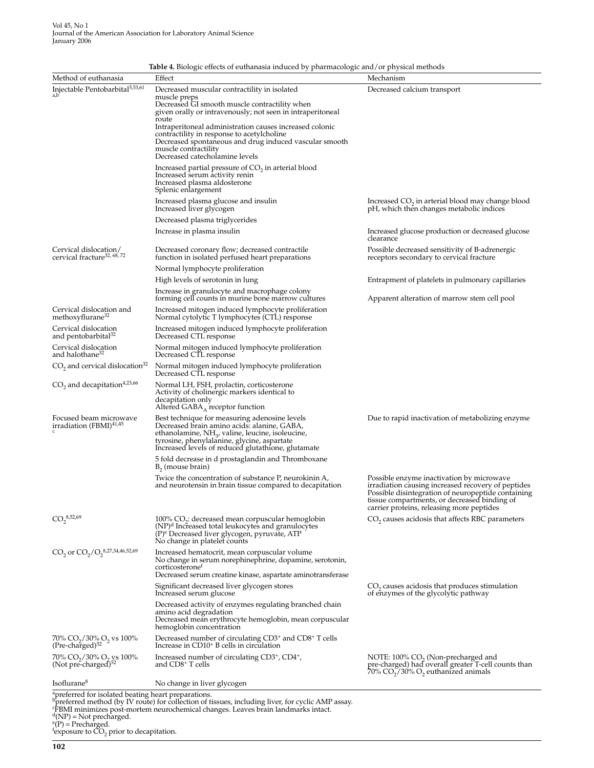| Method of euthanasia                                                               | Effect                                                                                                                                                                                                                                                     | Mechanism                                                                                                                                                                                                                                          |
|------------------------------------------------------------------------------------|------------------------------------------------------------------------------------------------------------------------------------------------------------------------------------------------------------------------------------------------------------|----------------------------------------------------------------------------------------------------------------------------------------------------------------------------------------------------------------------------------------------------|
| Injectable Pentobarbital <sup>5,53,61</sup>                                        |                                                                                                                                                                                                                                                            |                                                                                                                                                                                                                                                    |
|                                                                                    | Decreased muscular contractility in isolated<br>muscle preps<br>Decreased GI smooth muscle contractility when<br>given orally or intravenously; not seen in intraperitoneal                                                                                | Decreased calcium transport                                                                                                                                                                                                                        |
|                                                                                    | route<br>Intraperitoneal administration causes increased colonic<br>contractility in response to acetylcholine                                                                                                                                             |                                                                                                                                                                                                                                                    |
|                                                                                    | Decreased spontaneous and drug induced vascular smooth<br>muscle contractility<br>Decreased catecholamine levels                                                                                                                                           |                                                                                                                                                                                                                                                    |
|                                                                                    | Increased partial pressure of $CO2$ in arterial blood<br>Increased serum activity renin<br>Increased plasma aldosterone<br>Splenic enlargement                                                                                                             |                                                                                                                                                                                                                                                    |
|                                                                                    | Increased plasma glucose and insulin<br>Increased liver glycogen                                                                                                                                                                                           | Increased CO <sub>2</sub> in arterial blood may change blood<br>pH, which then changes metabolic indices                                                                                                                                           |
|                                                                                    | Decreased plasma triglycerides                                                                                                                                                                                                                             |                                                                                                                                                                                                                                                    |
|                                                                                    | Increase in plasma insulin                                                                                                                                                                                                                                 | Increased glucose production or decreased glucose<br>clearance                                                                                                                                                                                     |
| Cervical dislocation/<br>cervical fracture <sup>32, 68, 72</sup>                   | Decreased coronary flow; decreased contractile<br>function in isolated perfused heart preparations                                                                                                                                                         | Possible decreased sensitivity of B-adrenergic<br>receptors secondary to cervical fracture                                                                                                                                                         |
|                                                                                    | Normal lymphocyte proliferation                                                                                                                                                                                                                            |                                                                                                                                                                                                                                                    |
|                                                                                    | High levels of serotonin in lung                                                                                                                                                                                                                           | Entrapment of platelets in pulmonary capillaries                                                                                                                                                                                                   |
|                                                                                    | Increase in granulocyte and macrophage colony<br>forming cell counts in murine bone marrow cultures                                                                                                                                                        | Apparent alteration of marrow stem cell pool                                                                                                                                                                                                       |
| Cervical dislocation and<br>methoxyflurane <sup>32</sup>                           | Increased mitogen induced lymphocyte proliferation<br>Normal cytolytic T lymphocytes (CTL) response                                                                                                                                                        |                                                                                                                                                                                                                                                    |
| Cervical dislocation<br>and pentobarbital <sup>32</sup>                            | Increased mitogen induced lymphocyte proliferation<br>Decreased CTL response                                                                                                                                                                               |                                                                                                                                                                                                                                                    |
| Cervical dislocation<br>and halothane <sup>32</sup>                                | Normal mitogen induced lymphocyte proliferation<br>Decreased CTL response                                                                                                                                                                                  |                                                                                                                                                                                                                                                    |
| CO <sub>2</sub> and cervical dislocation <sup>32</sup>                             | Normal mitogen induced lymphocyte proliferation<br>Decreased CTL response                                                                                                                                                                                  |                                                                                                                                                                                                                                                    |
| $CO2$ and decapitation <sup>4,23,66</sup>                                          | Normal LH, FSH, prolactin, corticosterone<br>Activity of cholinergic markers identical to<br>decapitation only<br>Altered $GABA_A$ receptor function                                                                                                       |                                                                                                                                                                                                                                                    |
| Focused beam microwave<br>irradiation (FBMI) <sup>41,45</sup>                      | Best technique for measuring adenosine levels<br>Decreased brain amino acids: alanine, GABA,<br>ethanolamine, $NH_{3}$ , valine, leucine, isoleucine,<br>tyrosine, phenylalanine, glycine, aspartate<br>Increased levels of reduced glutathione, glutamate | Due to rapid inactivation of metabolizing enzyme.                                                                                                                                                                                                  |
|                                                                                    | 5 fold decrease in d prostaglandin and Thromboxane<br>$B_2$ (mouse brain)                                                                                                                                                                                  |                                                                                                                                                                                                                                                    |
|                                                                                    | Twice the concentration of substance P, neurokinin A,<br>and neurotensin in brain tissue compared to decapitation                                                                                                                                          | Possible enzyme inactivation by microwave<br>irradiation causing increased recovery of peptides<br>Possible disintegration of neuropeptide containing<br>tissue compartments, or decreased binding of<br>carrier proteins, releasing more peptides |
| $CO_2^{8,52,69}$                                                                   | $100\%$ CO <sub>2</sub> : decreased mean corpuscular hemoglobin<br>(NP) <sup>d</sup> Increased total leukocytes and granulocytes<br>(P) <sup>e</sup> Decreased liver glycogen, pyruvate, ATP<br>No change in platelet counts                               | CO <sub>2</sub> causes acidosis that affects RBC parameters                                                                                                                                                                                        |
| $CO_2$ or $CO_2/O_2^{8,27,34,46,52,69}$                                            | Increased hematocrit, mean corpuscular volume<br>No change in serum norephinephrine, dopamine, serotonin,<br>corticosterone <sup>r</sup><br>Decreased serum creatine kinase, aspartate aminotransferase                                                    |                                                                                                                                                                                                                                                    |
|                                                                                    | Significant decreased liver glycogen stores<br>Increased serum glucose                                                                                                                                                                                     | $CO2$ causes acidosis that produces stimulation<br>of enzymes of the glycolytic pathway                                                                                                                                                            |
|                                                                                    | Decreased activity of enzymes regulating branched chain<br>amino acid degradation<br>Decreased mean erythrocyte hemoglobin, mean corpuscular<br>hemoglobin concentration                                                                                   |                                                                                                                                                                                                                                                    |
| 70% CO <sub>2</sub> /30% O <sub>2</sub> vs 100%<br>$(Pre-charged)^{52}$            | Decreased number of circulating CD3 <sup>+</sup> and CD8 <sup>+</sup> T cells<br>Increase in CD10 <sup>+</sup> B cells in circulation                                                                                                                      |                                                                                                                                                                                                                                                    |
| 70% CO <sub>2</sub> /30% O <sub>2</sub> ys 100%<br>(Not pre-charged) <sup>52</sup> | Increased number of circulating CD3 <sup>+</sup> , CD4 <sup>+</sup> ,<br>and $CD8+$ T cells                                                                                                                                                                | NOTE: 100% CO, (Non-precharged and<br>pre-charged) had overall greater T-cell counts than<br>$70\%$ CO <sub>2</sub> /30% O <sub>2</sub> euthanized animals                                                                                         |
| Isoflurane <sup>8</sup>                                                            | No change in liver glycogen                                                                                                                                                                                                                                |                                                                                                                                                                                                                                                    |

Table 4. Biologic effects of euthanasia induced by pharmacologic and/or physical methods

The structure of the structure of the system<br>  $\frac{1}{2}$ <br>  $\frac{1}{2}$ <br>  $\frac{1}{2}$  preferred method (by IV route) for collection of tissues, including liver, for cyclic AMP assay.<br>  $\frac{1}{2}$ <br>  $\frac{1}{2}$  (NP) = Not precharged.<br>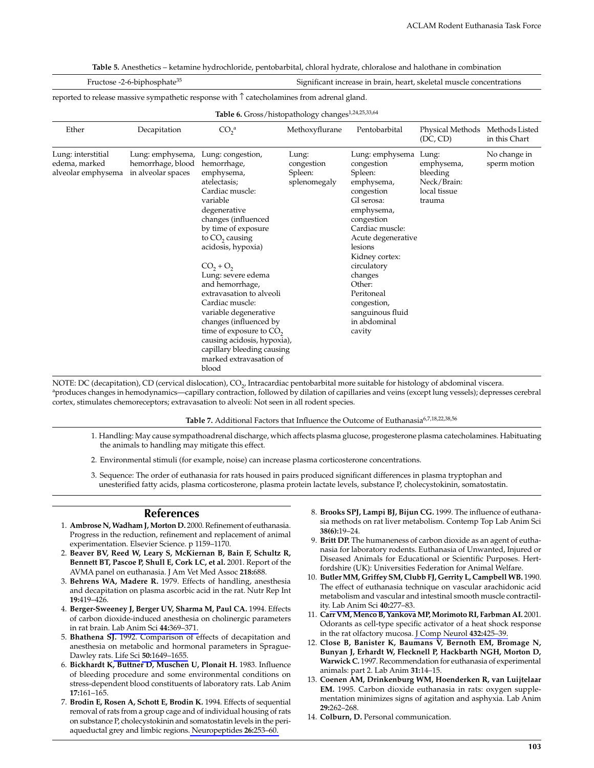Table 5. Anesthetics - ketamine hydrochloride, pentobarbital, chloral hydrate, chloralose and halothane in combination

| Fructose -2-6-biphosphate <sup>35</sup>                        |                                                             |                                                                                                                                                                                                                                                                                                                                                                                                                                                                                               | Significant increase in brain, heart, skeletal muscle concentrations |                                                                                                                                                                                                                                                                                                     |                                                                          |                                 |  |  |  |
|----------------------------------------------------------------|-------------------------------------------------------------|-----------------------------------------------------------------------------------------------------------------------------------------------------------------------------------------------------------------------------------------------------------------------------------------------------------------------------------------------------------------------------------------------------------------------------------------------------------------------------------------------|----------------------------------------------------------------------|-----------------------------------------------------------------------------------------------------------------------------------------------------------------------------------------------------------------------------------------------------------------------------------------------------|--------------------------------------------------------------------------|---------------------------------|--|--|--|
|                                                                |                                                             | reported to release massive sympathetic response with $\uparrow$ catecholamines from adrenal gland.                                                                                                                                                                                                                                                                                                                                                                                           |                                                                      |                                                                                                                                                                                                                                                                                                     |                                                                          |                                 |  |  |  |
| Table 6. Gross/histopathology changes <sup>1,24,25,33,64</sup> |                                                             |                                                                                                                                                                                                                                                                                                                                                                                                                                                                                               |                                                                      |                                                                                                                                                                                                                                                                                                     |                                                                          |                                 |  |  |  |
| Ether                                                          | Decapitation                                                | CO <sub>2</sub> <sup>a</sup>                                                                                                                                                                                                                                                                                                                                                                                                                                                                  | Methoxyflurane                                                       | Pentobarbital                                                                                                                                                                                                                                                                                       | <b>Physical Methods</b><br>(DC, CD)                                      | Methods Listed<br>in this Chart |  |  |  |
| Lung: interstitial<br>edema, marked<br>alveolar emphysema      | Lung: emphysema,<br>hemorrhage, blood<br>in alveolar spaces | Lung: congestion,<br>hemorrhage,<br>emphysema,<br>atelectasis;<br>Cardiac muscle:<br>variable<br>degenerative<br>changes (influenced<br>by time of exposure<br>to $CO$ , causing<br>acidosis, hypoxia)<br>$CO2 + O2$<br>Lung: severe edema<br>and hemorrhage,<br>extravasation to alveoli<br>Cardiac muscle:<br>variable degenerative<br>changes (influenced by<br>time of exposure to $CO2$<br>causing acidosis, hypoxia),<br>capillary bleeding causing<br>marked extravasation of<br>blood | Lung:<br>congestion<br>Spleen:<br>splenomegaly                       | Lung: emphysema<br>congestion<br>Spleen:<br>emphysema,<br>congestion<br>GI serosa:<br>emphysema,<br>congestion<br>Cardiac muscle:<br>Acute degenerative<br>lesions<br>Kidney cortex:<br>circulatory<br>changes<br>Other:<br>Peritoneal<br>congestion,<br>sanguinous fluid<br>in abdominal<br>cavity | Lung:<br>emphysema,<br>bleeding<br>Neck/Brain:<br>local tissue<br>trauma | No change in<br>sperm motion    |  |  |  |

NOTE: DC (decapitation), CD (cervical dislocation), CO<sub>2</sub>, Intracardiac pentobarbital more suitable for histology of abdominal viscera. aproduces changes in hemodynamics—capillary contraction, followed by dilation of capillaries and veins (except lung vessels); depresses cerebral cortex, stimulates chemoreceptors; extravasation to alveoli: Not seen in all rodent species.

Table 7. Additional Factors that Influence the Outcome of Euthanasia<sup>6,7,18,22,38,56</sup>

- 1. Handling: May cause sympathoadrenal discharge, which affects plasma glucose, progesterone plasma catecholamines. Habituating the animals to handling may mitigate this effect.
- 2. Environmental stimuli (for example, noise) can increase plasma corticosterone concentrations.
- 3. Sequence: The order of euthanasia for rats housed in pairs produced significant differences in plasma tryptophan and unesterified fatty acids, plasma corticosterone, plasma protein lactate levels, substance P, cholecystokinin, somatostatin.

#### **References**

- 1. Ambrose N, Wadham J, Morton D. 2000. Refinement of euthanasia. Progress in the reduction, refinement and replacement of animal experimentation. Elsevier Science. p 1159-1170.
- 2. Beaver BV, Reed W, Leary S, McKiernan B, Bain F, Schultz R, Bennett BT, Pascoe P, Shull E, Cork LC, et al. 2001. Report of the AVMA panel on euthanasia. J Am Vet Med Assoc 218:688.
- 3. Behrens WA, Madere R. 1979. Effects of handling, anesthesia and decapitation on plasma ascorbic acid in the rat. Nutr Rep Int 19:419-426.
- 4. Berger-Sweeney J, Berger UV, Sharma M, Paul CA. 1994. Effects of carbon dioxide-induced anesthesia on cholinergic parameters in rat brain. Lab Anim Sci 44:369-371.
- 5. Bhathena SJ. 1992. Comparison of effects of decapitation and anesthesia on metabolic and hormonal parameters in Sprague-Dawley rats. Life Sci 50:1649-1655
- 6. Bickhardt K, Buttner D, Muschen U, Plonait H. 1983. Influence of bleeding procedure and some environmental conditions on stress-dependent blood constituents of laboratory rats. Lab Anim  $17:161-165.$
- 7. Brodin E, Rosen A, Schott E, Brodin K. 1994. Effects of sequential removal of rats from a group cage and of individual housing of rats on substance P, cholecystokinin and somatostatin levels in the periaqueductal grey and limbic regions. Neuropeptides 26:253-60.
- 8. Brooks SPJ, Lampi BJ, Bijun CG. 1999. The influence of euthanasia methods on rat liver metabolism. Contemp Top Lab Anim Sci  $38(6):19-24.$
- 9. Britt DP. The humaneness of carbon dioxide as an agent of euthanasia for laboratory rodents. Euthanasia of Unwanted, Injured or Diseased Animals for Educational or Scientific Purposes. Hertfordshire (UK): Universities Federation for Animal Welfare.
- 10. Butler MM, Griffey SM, Clubb FJ, Gerrity L, Campbell WB. 1990. The effect of euthanasia technique on vascular arachidonic acid metabolism and vascular and intestinal smooth muscle contractility. Lab Anim Sci 40:277-83.
- 11. Carr VM. Menco B. Yankova MP. Morimoto RL Farbman AI. 2001. Odorants as cell-type specific activator of a heat shock response in the rat olfactory mucosa. J Comp Neurol 432:425-39.
- 12. Close B, Banister K, Baumans V, Bernoth EM, Bromage N, Bunyan J, Erhardt W, Flecknell P, Hackbarth NGH, Morton D, Warwick C. 1997. Recommendation for euthanasia of experimental animals: part 2. Lab Anim 31:14-15.
- 13. Coenen AM, Drinkenburg WM, Hoenderken R, van Luijtelaar EM. 1995. Carbon dioxide euthanasia in rats: oxygen supplementation minimizes signs of agitation and asphyxia. Lab Anim 29:262-268.
- 14. Colburn, D. Personal communication.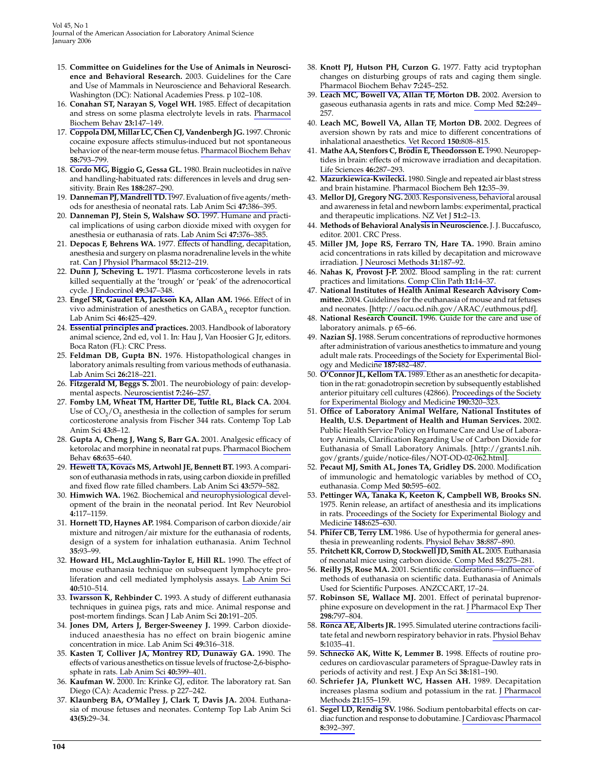- 15. Committee on Guidelines for the Use of Animals in Neuroscience and Behavioral Research. 2003. Guidelines for the Care and Use of Mammals in Neuroscience and Behavioral Research. Washington (DC): National Academies Press. p 102-108.
- 16. Conahan ST, Narayan S, Vogel WH. 1985. Effect of decapitation and stress on some plasma electrolyte levels in rats. Pharmacol Biochem Behav 23:147-149.
- 17. Coppola DM, Millar LC, Chen CJ, Vandenbergh JG. 1997. Chronic cocaine exposure affects stimulus-induced but not spontaneous behavior of the near-term mouse fetus. Pharmacol Biochem Behav 58:793-799
- 18. Cordo MG, Biggio G, Gessa GL. 1980. Brain nucleotides in naïve and handling-habituated rats: differences in levels and drug sensitivity. Brain Res 188:287-290.
- 19. Danneman PJ, Mandrell TD. 1997. Evaluation of five agents/methods for anesthesia of neonatal rats. Lab Anim Sci 47:386-395.
- 20. Danneman PJ, Stein S, Walshaw SO. 1997. Humane and practical implications of using carbon dioxide mixed with oxygen for anesthesia or euthanasia of rats. Lab Anim Sci 47:376-385.
- 21. Depocas F, Behrens WA. 1977. Effects of handling, decapitation, anesthesia and surgery on plasma noradrenaline levels in the white rat. Can J Physiol Pharmacol 55:212-219.
- 22. Dunn J, Scheving L. 1971. Plasma corticosterone levels in rats killed sequentially at the 'trough' or 'peak' of the adrenocortical cycle. J Endocrinol 49:347-348.
- 23. Engel SR, Gaudet EA, Jackson KA, Allan AM. 1966. Effect of in vivo administration of anesthetics on  $GABA_A$  receptor function. Lab Anim Sci 46:425-429.
- 24. Essential principles and practices. 2003. Handbook of laboratory animal science, 2nd ed, vol 1. In: Hau J, Van Hoosier G Jr, editors. Boca Raton (FL): CRC Press.
- 25. Feldman DB, Gupta BN. 1976. Histopathological changes in laboratory animals resulting from various methods of euthanasia. Lab Anim Sci 26:218-221.
- 26. Fitzgerald M, Beggs S. 2001. The neurobiology of pain: developmental aspects. Neuroscientist 7:246-257
- 27. Fomby LM, Wheat TM, Hartter DE, Tuttle RL, Black CA. 2004. Use of  $CO<sub>2</sub>/O<sub>2</sub>$  and an in the collection of samples for serum corticosterone analysis from Fischer 344 rats. Contemp Top Lab Anim Sci 43:8-12.
- 28. Gupta A, Cheng J, Wang S, Barr GA. 2001. Analgesic efficacy of ketorolac and morphine in neonatal rat pups. Pharmacol Biochem Behav 68:635-640.
- 29. Hewett TA, Kovacs MS, Artwohl JE, Bennett BT. 1993. A comparison of euthanasia methods in rats, using carbon dioxide in prefilled and fixed flow rate filled chambers. Lab Anim Sci 43:579-582.
- 30. Himwich WA. 1962. Biochemical and neurophysiological development of the brain in the neonatal period. Int Rev Neurobiol 4:117-1159
- 31. Hornett TD, Haynes AP. 1984. Comparison of carbon dioxide/air mixture and nitrogen/air mixture for the euthanasia of rodents, design of a system for inhalation euthanasia. Anim Technol 35:93-99
- 32. Howard HL, McLaughlin-Taylor E, Hill RL. 1990. The effect of mouse euthanasia technique on subsequent lymphocyte proliferation and cell mediated lympholysis assays. Lab Anim Sci 40:510-514
- 33. **Iwarsson K, Rehbinder C.** 1993. A study of different euthanasia techniques in guinea pigs, rats and mice. Animal response and post-mortem findings. Scan J Lab Anim Sci 20:191-205.
- 34. Jones DM, Arters J, Berger-Sweeney J. 1999. Carbon dioxideinduced anaesthesia has no effect on brain biogenic amine concentration in mice. Lab Anim Sci 49:316-318.
- 35. Kasten T, Colliver JA, Montrey RD, Dunaway GA. 1990. The effects of various anesthetics on tissue levels of fructose-2,6-bisphosphate in rats. Lab Anim Sci 40:399-401.
- 36. Kaufman W. 2000. In: Krinke GJ, editor. The laboratory rat. San Diego (CA): Academic Press. p 227-242.
- 37. Klaunberg BA, O'Malley J, Clark T, Davis JA. 2004. Euthanasia of mouse fetuses and neonates. Contemp Top Lab Anim Sci  $43(5):29-34$
- 38. Knott PJ, Hutson PH, Curzon G. 1977. Fatty acid tryptophan changes on disturbing groups of rats and caging them single. Pharmacol Biochem Behav 7:245-252.
- Leach MC, Bowell VA, Allan TF, Morton DB. 2002. Aversion to 39. gaseous euthanasia agents in rats and mice. Comp Med 52:249-257
- 40. Leach MC, Bowell VA, Allan TF, Morton DB. 2002. Degrees of aversion shown by rats and mice to different concentrations of inhalational anaesthetics. Vet Record 150:808-815.
- 41. Mathe AA, Stenfors C, Brodin E, Theodorsson E. 1990. Neuropeptides in brain: effects of microwave irradiation and decapitation. Life Sciences 46:287-293.
- 42. Mazurkiewica-Kwilecki. 1980. Single and repeated air blast stress and brain histamine. Pharmacol Biochem Beh 12:35-39.
- 43. Mellor DJ, Gregory NG. 2003. Responsiveness, behavioral arousal and awareness in fetal and newborn lambs: experimental, practical and therapeutic implications. NZ Vet J 51:2-13.
- 44. Methods of Behavioral Analysis in Neuroscience. J. J. Buccafusco, editor. 2001. CRC Press.
- 45. Miller JM, Jope RS, Ferraro TN, Hare TA. 1990. Brain amino acid concentrations in rats killed by decapitation and microwave irradiation. J Neurosci Methods 31:187-92.
- 46. Nahas K, Provost J-P. 2002. Blood sampling in the rat: current practices and limitations. Comp Clin Path 11:14-37.
- 47. National Institutes of Health Animal Research Advisory Committee. 2004. Guidelines for the euthanasia of mouse and rat fetuses and neonates. [http://oacu.od.nih.gov/ARAC/euthmous.pdf].
- 48. National Research Council. 1996. Guide for the care and use of laboratory animals. p 65-66.
- 49. Nazian SJ. 1988. Serum concentrations of reproductive hormones after administration of various anesthetics to immature and young adult male rats. Proceedings of the Society for Experimental Biology and Medicine 187:482-487.
- 50. O'Connor JL, Kellom TA. 1989. Ether as an anesthetic for decapitation in the rat: gonadotropin secretion by subsequently established anterior pituitary cell cultures (42866). Proceedings of the Society for Experimental Biology and Medicine 190:320-323.
- 51. Office of Laboratory Animal Welfare, National Institutes of Health, U.S. Department of Health and Human Services. 2002. Public Health Service Policy on Humane Care and Use of Laboratory Animals, Clarification Regarding Use of Carbon Dioxide for Euthanasia of Small Laboratory Animals. [http://grants1.nih. gov/grants/guide/notice-files/NOT-OD-02-062.html].
- 52. Pecaut MJ, Smith AL, Jones TA, Gridley DS. 2000. Modification of immunologic and hematologic variables by method of CO<sub>2</sub> euthanasia. Comp Med 50:595-602.
- 53. Pettinger WA, Tanaka K, Keeton K, Campbell WB, Brooks SN. 1975. Renin release, an artifact of anesthesia and its implications in rats. Proceedings of the Society for Experimental Biology and Medicine 148:625-630.
- 54. Phifer CB, Terry LM. 1986. Use of hypothermia for general anesthesia in preweanling rodents. Physiol Behav 38:887-890.
- 55. Pritchett KR, Corrow D, Stockwell JD, Smith AL. 2005. Euthanasia of neonatal mice using carbon dioxide. Comp Med 55:275-281.
- 56. Reilly JS, Rose MA. 2001. Scientific considerations-influence of methods of euthanasia on scientific data. Euthanasia of Animals Used for Scientific Purposes. ANZCCART, 17-24.
- 57. Robinson SE, Wallace MJ. 2001. Effect of perinatal buprenorphine exposure on development in the rat. J Pharmacol Exp Ther 298:797-804.
- 58. Ronca AE, Alberts JR. 1995. Simulated uterine contractions facilitate fetal and newborn respiratory behavior in rats. Physiol Behav 5:1035-41
- 59. Schnecko AK, Witte K, Lemmer B. 1998. Effects of routine procedures on cardiovascular parameters of Sprague-Dawley rats in periods of activity and rest. J Exp An Sci 38:181-190.
- 60. Schriefer JA, Plunkett WC, Hassen AH. 1989. Decapitation increases plasma sodium and potassium in the rat. J Pharmacol Methods 21:155-159.
- 61. Segel LD, Rendig SV. 1986. Sodium pentobarbital effects on cardiac function and response to dobutamine. J Cardiovasc Pharmacol 8:392-397.